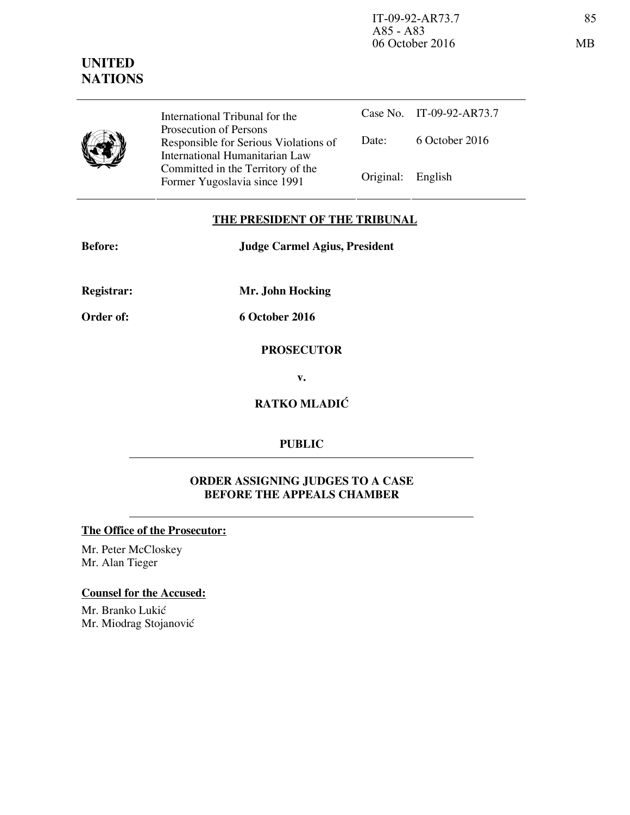

International Tribunal for the Prosecution of Persons Responsible for Serious Violations of International Humanitarian Law Committed in the Territory of the Former Yugoslavia since 1991 Original: English

Case No. IT-09-92-AR73.7 Date: 6 October 2016

# **THE PRESIDENT OF THE TRIBUNAL**

**Before: Judge Carmel Agius, President** 

**Registrar: Mr. John Hocking** 

**Order of: 6 October 2016** 

**PROSECUTOR** 

**v.** 

**RATKO MLADIĆ** 

# **PUBLIC**

# **ORDER ASSIGNING JUDGES TO A CASE BEFORE THE APPEALS CHAMBER**

# **The Office of the Prosecutor:**

Mr. Peter McCloskey Mr. Alan Tieger

# **Counsel for the Accused:**

Mr. Branko Lukić Mr. Miodrag Stojanović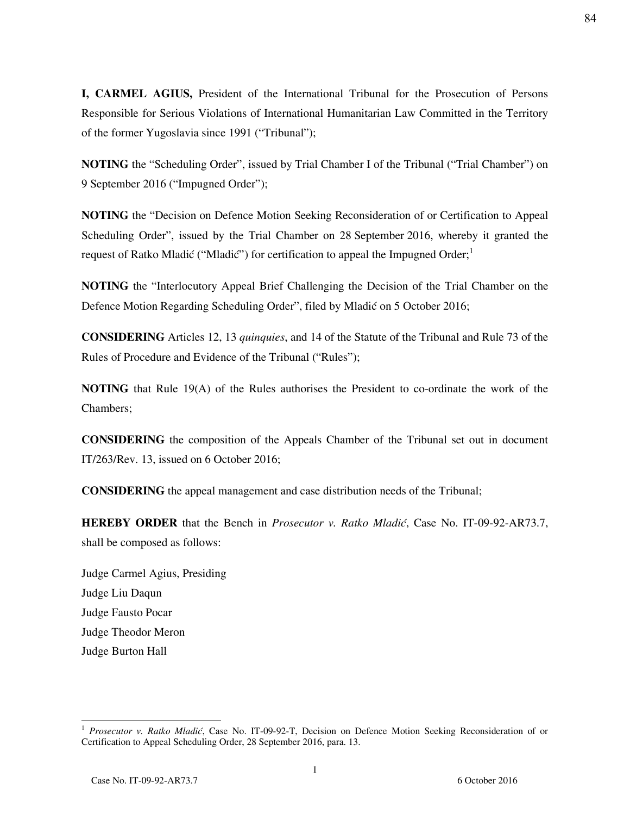**I, CARMEL AGIUS,** President of the International Tribunal for the Prosecution of Persons Responsible for Serious Violations of International Humanitarian Law Committed in the Territory of the former Yugoslavia since 1991 ("Tribunal");

**NOTING** the "Scheduling Order", issued by Trial Chamber I of the Tribunal ("Trial Chamber") on 9 September 2016 ("Impugned Order");

**NOTING** the "Decision on Defence Motion Seeking Reconsideration of or Certification to Appeal Scheduling Order", issued by the Trial Chamber on 28 September 2016, whereby it granted the request of Ratko Mladić ("Mladić") for certification to appeal the Impugned Order;<sup>1</sup>

**NOTING** the "Interlocutory Appeal Brief Challenging the Decision of the Trial Chamber on the Defence Motion Regarding Scheduling Order", filed by Mladić on 5 October 2016;

**CONSIDERING** Articles 12, 13 *quinquies*, and 14 of the Statute of the Tribunal and Rule 73 of the Rules of Procedure and Evidence of the Tribunal ("Rules");

**NOTING** that Rule 19(A) of the Rules authorises the President to co-ordinate the work of the Chambers;

**CONSIDERING** the composition of the Appeals Chamber of the Tribunal set out in document IT/263/Rev. 13, issued on 6 October 2016;

**CONSIDERING** the appeal management and case distribution needs of the Tribunal;

**HEREBY ORDER** that the Bench in *Prosecutor v. Ratko Mladić*, Case No. IT-09-92-AR73.7, shall be composed as follows:

Judge Carmel Agius, Presiding Judge Liu Daqun Judge Fausto Pocar Judge Theodor Meron Judge Burton Hall

<sup>&</sup>lt;sup>1</sup> Prosecutor v. Ratko Mladić, Case No. IT-09-92-T, Decision on Defence Motion Seeking Reconsideration of or Certification to Appeal Scheduling Order, 28 September 2016, para. 13.